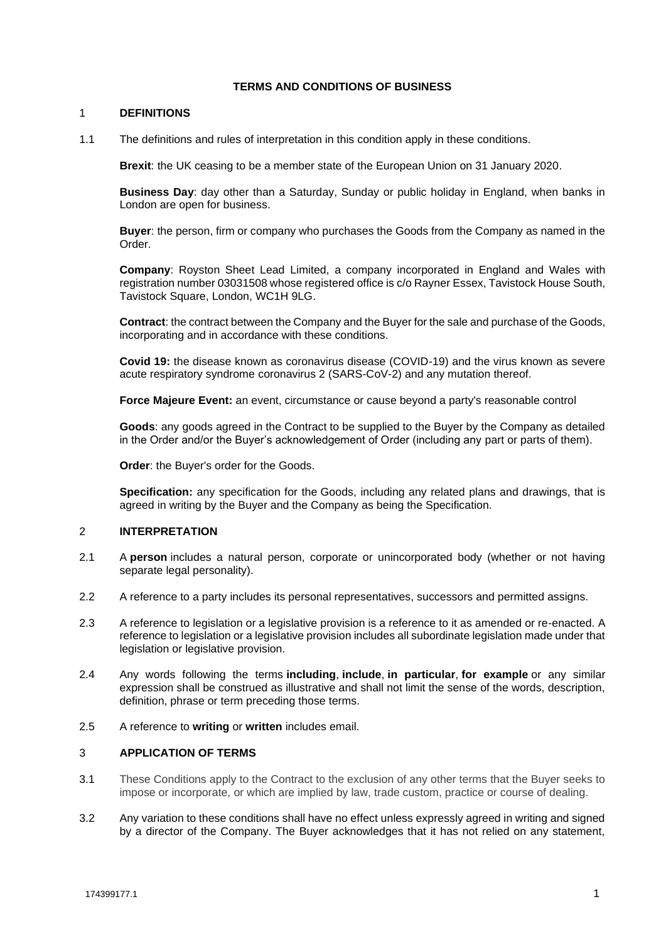## **TERMS AND CONDITIONS OF BUSINESS**

### 1 **DEFINITIONS**

1.1 The definitions and rules of interpretation in this condition apply in these conditions.

**Brexit**: the UK ceasing to be a member state of the European Union on 31 January 2020.

**Business Day**: day other than a Saturday, Sunday or public holiday in England, when banks in London are open for business.

**Buyer**: the person, firm or company who purchases the Goods from the Company as named in the Order.

**Company**: Royston Sheet Lead Limited, a company incorporated in England and Wales with registration number 03031508 whose registered office is c/o Rayner Essex, Tavistock House South, Tavistock Square, London, WC1H 9LG.

**Contract**: the contract between the Company and the Buyer for the sale and purchase of the Goods, incorporating and in accordance with these conditions.

**Covid 19:** the disease known as coronavirus disease (COVID-19) and the virus known as severe acute respiratory syndrome coronavirus 2 (SARS-CoV-2) and any mutation thereof.

**Force Majeure Event:** an event, circumstance or cause beyond a party's reasonable control

**Goods**: any goods agreed in the Contract to be supplied to the Buyer by the Company as detailed in the Order and/or the Buyer's acknowledgement of Order (including any part or parts of them).

**Order**: the Buyer's order for the Goods.

**Specification:** any specification for the Goods, including any related plans and drawings, that is agreed in writing by the Buyer and the Company as being the Specification.

### 2 **INTERPRETATION**

- 2.1 A **person** includes a natural person, corporate or unincorporated body (whether or not having separate legal personality).
- 2.2 A reference to a party includes its personal representatives, successors and permitted assigns.
- 2.3 A reference to legislation or a legislative provision is a reference to it as amended or re-enacted. A reference to legislation or a legislative provision includes all subordinate legislation made under that legislation or legislative provision.
- 2.4 Any words following the terms **including**, **include**, **in particular**, **for example** or any similar expression shall be construed as illustrative and shall not limit the sense of the words, description, definition, phrase or term preceding those terms.
- 2.5 A reference to **writing** or **written** includes email.

## 3 **APPLICATION OF TERMS**

- 3.1 These Conditions apply to the Contract to the exclusion of any other terms that the Buyer seeks to impose or incorporate, or which are implied by law, trade custom, practice or course of dealing.
- 3.2 Any variation to these conditions shall have no effect unless expressly agreed in writing and signed by a director of the Company. The Buyer acknowledges that it has not relied on any statement,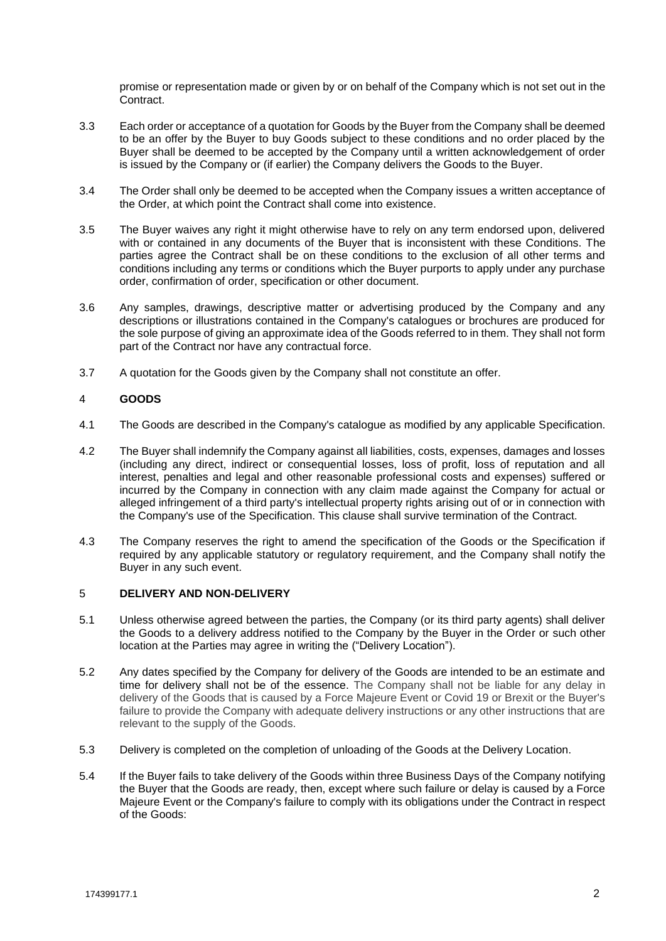promise or representation made or given by or on behalf of the Company which is not set out in the Contract.

- 3.3 Each order or acceptance of a quotation for Goods by the Buyer from the Company shall be deemed to be an offer by the Buyer to buy Goods subject to these conditions and no order placed by the Buyer shall be deemed to be accepted by the Company until a written acknowledgement of order is issued by the Company or (if earlier) the Company delivers the Goods to the Buyer.
- 3.4 The Order shall only be deemed to be accepted when the Company issues a written acceptance of the Order, at which point the Contract shall come into existence.
- 3.5 The Buyer waives any right it might otherwise have to rely on any term endorsed upon, delivered with or contained in any documents of the Buyer that is inconsistent with these Conditions. The parties agree the Contract shall be on these conditions to the exclusion of all other terms and conditions including any terms or conditions which the Buyer purports to apply under any purchase order, confirmation of order, specification or other document.
- 3.6 Any samples, drawings, descriptive matter or advertising produced by the Company and any descriptions or illustrations contained in the Company's catalogues or brochures are produced for the sole purpose of giving an approximate idea of the Goods referred to in them. They shall not form part of the Contract nor have any contractual force.
- 3.7 A quotation for the Goods given by the Company shall not constitute an offer.

# 4 **GOODS**

- 4.1 The Goods are described in the Company's catalogue as modified by any applicable Specification.
- 4.2 The Buyer shall indemnify the Company against all liabilities, costs, expenses, damages and losses (including any direct, indirect or consequential losses, loss of profit, loss of reputation and all interest, penalties and legal and other reasonable professional costs and expenses) suffered or incurred by the Company in connection with any claim made against the Company for actual or alleged infringement of a third party's intellectual property rights arising out of or in connection with the Company's use of the Specification. This clause shall survive termination of the Contract.
- 4.3 The Company reserves the right to amend the specification of the Goods or the Specification if required by any applicable statutory or regulatory requirement, and the Company shall notify the Buyer in any such event.

# 5 **DELIVERY AND NON-DELIVERY**

- 5.1 Unless otherwise agreed between the parties, the Company (or its third party agents) shall deliver the Goods to a delivery address notified to the Company by the Buyer in the Order or such other location at the Parties may agree in writing the ("Delivery Location").
- 5.2 Any dates specified by the Company for delivery of the Goods are intended to be an estimate and time for delivery shall not be of the essence. The Company shall not be liable for any delay in delivery of the Goods that is caused by a Force Majeure Event or Covid 19 or Brexit or the Buyer's failure to provide the Company with adequate delivery instructions or any other instructions that are relevant to the supply of the Goods.
- 5.3 Delivery is completed on the completion of unloading of the Goods at the Delivery Location.
- 5.4 If the Buyer fails to take delivery of the Goods within three Business Days of the Company notifying the Buyer that the Goods are ready, then, except where such failure or delay is caused by a Force Majeure Event or the Company's failure to comply with its obligations under the Contract in respect of the Goods: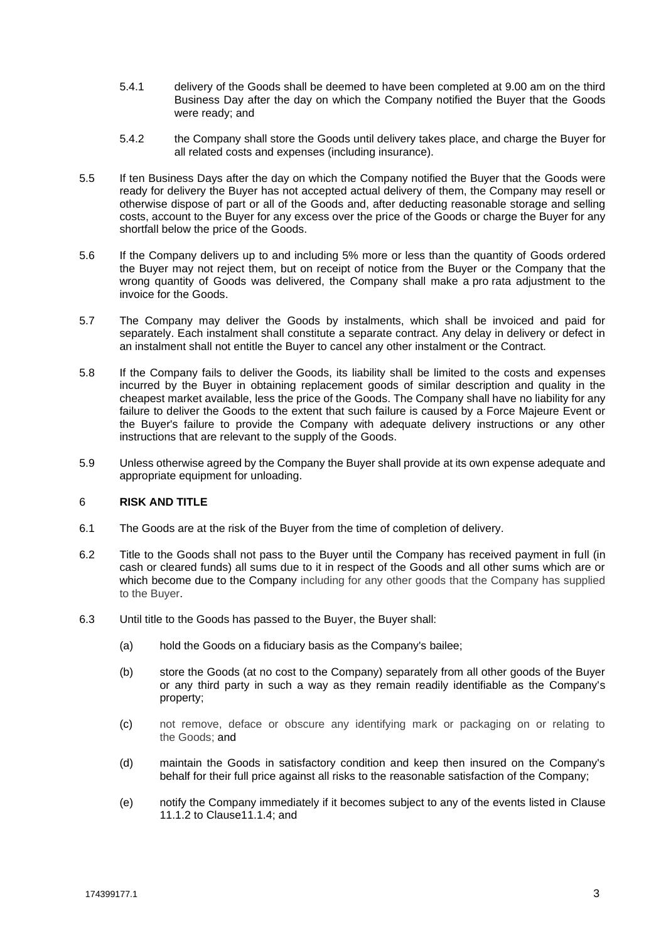- 5.4.1 delivery of the Goods shall be deemed to have been completed at 9.00 am on the third Business Day after the day on which the Company notified the Buyer that the Goods were ready; and
- 5.4.2 the Company shall store the Goods until delivery takes place, and charge the Buyer for all related costs and expenses (including insurance).
- 5.5 If ten Business Days after the day on which the Company notified the Buyer that the Goods were ready for delivery the Buyer has not accepted actual delivery of them, the Company may resell or otherwise dispose of part or all of the Goods and, after deducting reasonable storage and selling costs, account to the Buyer for any excess over the price of the Goods or charge the Buyer for any shortfall below the price of the Goods.
- 5.6 If the Company delivers up to and including 5% more or less than the quantity of Goods ordered the Buyer may not reject them, but on receipt of notice from the Buyer or the Company that the wrong quantity of Goods was delivered, the Company shall make a pro rata adjustment to the invoice for the Goods.
- 5.7 The Company may deliver the Goods by instalments, which shall be invoiced and paid for separately. Each instalment shall constitute a separate contract. Any delay in delivery or defect in an instalment shall not entitle the Buyer to cancel any other instalment or the Contract.
- 5.8 If the Company fails to deliver the Goods, its liability shall be limited to the costs and expenses incurred by the Buyer in obtaining replacement goods of similar description and quality in the cheapest market available, less the price of the Goods. The Company shall have no liability for any failure to deliver the Goods to the extent that such failure is caused by a Force Majeure Event or the Buyer's failure to provide the Company with adequate delivery instructions or any other instructions that are relevant to the supply of the Goods.
- 5.9 Unless otherwise agreed by the Company the Buyer shall provide at its own expense adequate and appropriate equipment for unloading.

# 6 **RISK AND TITLE**

- 6.1 The Goods are at the risk of the Buyer from the time of completion of delivery.
- 6.2 Title to the Goods shall not pass to the Buyer until the Company has received payment in full (in cash or cleared funds) all sums due to it in respect of the Goods and all other sums which are or which become due to the Company including for any other goods that the Company has supplied to the Buyer.
- 6.3 Until title to the Goods has passed to the Buyer, the Buyer shall:
	- (a) hold the Goods on a fiduciary basis as the Company's bailee;
	- (b) store the Goods (at no cost to the Company) separately from all other goods of the Buyer or any third party in such a way as they remain readily identifiable as the Company's property;
	- (c) not remove, deface or obscure any identifying mark or packaging on or relating to the Goods; and
	- (d) maintain the Goods in satisfactory condition and keep then insured on the Company's behalf for their full price against all risks to the reasonable satisfaction of the Company;
	- (e) notify the Company immediately if it becomes subject to any of the events listed in [Clause](https://uk.practicallaw.thomsonreuters.com/Document/I84178dba1cb111e38578f7ccc38dcbee/View/FullText.html?navigationPath=Search%2Fv1%2Fresults%2Fnavigation%2Fi0ad62aef0000017b7846cd63d7d51a8e%3Fppcid%3D13a3f715516b40ea9eebea1eafdcfc41%26Nav%3DKNOWHOW_UK%26fragmentIdentifier%3DI84178dba1cb111e38578f7ccc38dcbee%26parentRank%3D0%26startIndex%3D1%26contextData%3D%2528sc.Search%2529%26transitionType%3DSearchItem&listSource=Search&listPageSource=a132830e947d86062770bc760f771c9b&list=KNOWHOW_UK&rank=2&sessionScopeId=1e1d37245b0024632d1fd8d54f0ced51c2ba1634c681f5c7cb7f32cef911dd2a&ppcid=13a3f715516b40ea9eebea1eafdcfc41&originationContext=Search%20Result&transitionType=SearchItem&contextData=(sc.Search)&comp=pluk&navId=29419D9EBC2502E2831E2D7262354341#co_anchor_a818908)  [11.1.2](#page-6-0) to Claus[e11.1.4;](#page-6-1) and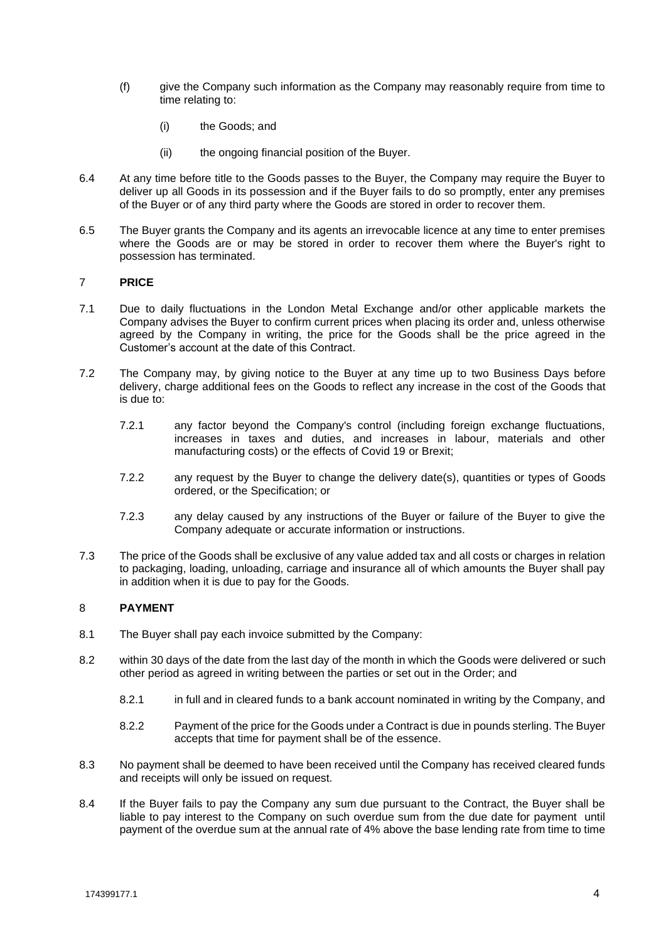- (f) give the Company such information as the Company may reasonably require from time to time relating to:
	- (i) the Goods; and
	- (ii) the ongoing financial position of the Buyer.
- 6.4 At any time before title to the Goods passes to the Buyer, the Company may require the Buyer to deliver up all Goods in its possession and if the Buyer fails to do so promptly, enter any premises of the Buyer or of any third party where the Goods are stored in order to recover them.
- 6.5 The Buyer grants the Company and its agents an irrevocable licence at any time to enter premises where the Goods are or may be stored in order to recover them where the Buyer's right to possession has terminated.

## 7 **PRICE**

- 7.1 Due to daily fluctuations in the London Metal Exchange and/or other applicable markets the Company advises the Buyer to confirm current prices when placing its order and, unless otherwise agreed by the Company in writing, the price for the Goods shall be the price agreed in the Customer's account at the date of this Contract.
- 7.2 The Company may, by giving notice to the Buyer at any time up to two Business Days before delivery, charge additional fees on the Goods to reflect any increase in the cost of the Goods that is due to:
	- 7.2.1 any factor beyond the Company's control (including foreign exchange fluctuations, increases in taxes and duties, and increases in labour, materials and other manufacturing costs) or the effects of Covid 19 or Brexit;
	- 7.2.2 any request by the Buyer to change the delivery date(s), quantities or types of Goods ordered, or the Specification; or
	- 7.2.3 any delay caused by any instructions of the Buyer or failure of the Buyer to give the Company adequate or accurate information or instructions.
- 7.3 The price of the Goods shall be exclusive of any value added tax and all costs or charges in relation to packaging, loading, unloading, carriage and insurance all of which amounts the Buyer shall pay in addition when it is due to pay for the Goods.

### 8 **PAYMENT**

- 8.1 The Buyer shall pay each invoice submitted by the Company:
- 8.2 within 30 days of the date from the last day of the month in which the Goods were delivered or such other period as agreed in writing between the parties or set out in the Order; and
	- 8.2.1 in full and in cleared funds to a bank account nominated in writing by the Company, and
	- 8.2.2 Payment of the price for the Goods under a Contract is due in pounds sterling. The Buyer accepts that time for payment shall be of the essence.
- 8.3 No payment shall be deemed to have been received until the Company has received cleared funds and receipts will only be issued on request.
- 8.4 If the Buyer fails to pay the Company any sum due pursuant to the Contract, the Buyer shall be liable to pay interest to the Company on such overdue sum from the due date for payment until payment of the overdue sum at the annual rate of 4% above the base lending rate from time to time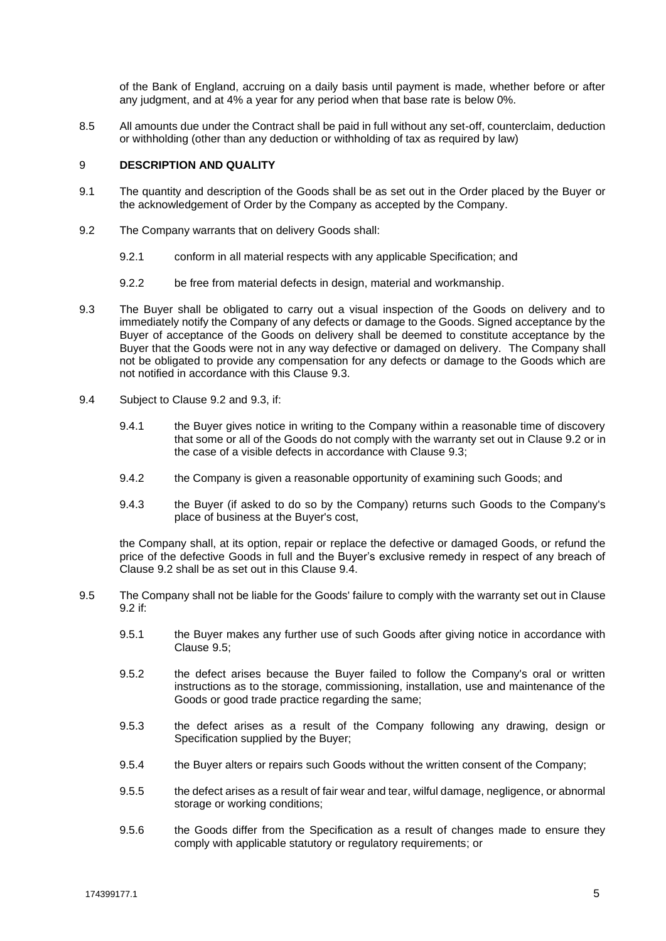of the Bank of England, accruing on a daily basis until payment is made, whether before or after any judgment, and at 4% a year for any period when that base rate is below 0%.

8.5 All amounts due under the Contract shall be paid in full without any set-off, counterclaim, deduction or withholding (other than any deduction or withholding of tax as required by law)

# <span id="page-4-4"></span>9 **DESCRIPTION AND QUALITY**

- 9.1 The quantity and description of the Goods shall be as set out in the Order placed by the Buyer or the acknowledgement of Order by the Company as accepted by the Company.
- <span id="page-4-1"></span>9.2 The Company warrants that on delivery Goods shall:
	- 9.2.1 conform in all material respects with any applicable Specification; and
	- 9.2.2 be free from material defects in design, material and workmanship.
- <span id="page-4-0"></span>9.3 The Buyer shall be obligated to carry out a visual inspection of the Goods on delivery and to immediately notify the Company of any defects or damage to the Goods. Signed acceptance by the Buyer of acceptance of the Goods on delivery shall be deemed to constitute acceptance by the Buyer that the Goods were not in any way defective or damaged on delivery. The Company shall not be obligated to provide any compensation for any defects or damage to the Goods which are not notified in accordance with this Clause [9.3.](#page-4-0)
- <span id="page-4-3"></span>9.4 Subject to Clause [9.2](#page-4-1) and 9.3, if:
	- 9.4.1 the Buyer gives notice in writing to the Company within a reasonable time of discovery that some or all of the Goods do not comply with the warranty set out in Claus[e 9.2](#page-4-1) or in the case of a visible defects in accordance with Clause [9.3;](#page-4-0)
	- 9.4.2 the Company is given a reasonable opportunity of examining such Goods; and
	- 9.4.3 the Buyer (if asked to do so by the Company) returns such Goods to the Company's place of business at the Buyer's cost,

the Company shall, at its option, repair or replace the defective or damaged Goods, or refund the price of the defective Goods in full and the Buyer's exclusive remedy in respect of any breach of Clause [9.2](#page-4-1) shall be as set out in this Clause 9.4.

- <span id="page-4-2"></span>9.5 The Company shall not be liable for the Goods' failure to comply with the warranty set out in Clause [9.2](#page-4-1) if:
	- 9.5.1 the Buyer makes any further use of such Goods after giving notice in accordance with Clause [9.5;](#page-4-2)
	- 9.5.2 the defect arises because the Buyer failed to follow the Company's oral or written instructions as to the storage, commissioning, installation, use and maintenance of the Goods or good trade practice regarding the same;
	- 9.5.3 the defect arises as a result of the Company following any drawing, design or Specification supplied by the Buyer;
	- 9.5.4 the Buyer alters or repairs such Goods without the written consent of the Company;
	- 9.5.5 the defect arises as a result of fair wear and tear, wilful damage, negligence, or abnormal storage or working conditions;
	- 9.5.6 the Goods differ from the Specification as a result of changes made to ensure they comply with applicable statutory or regulatory requirements; or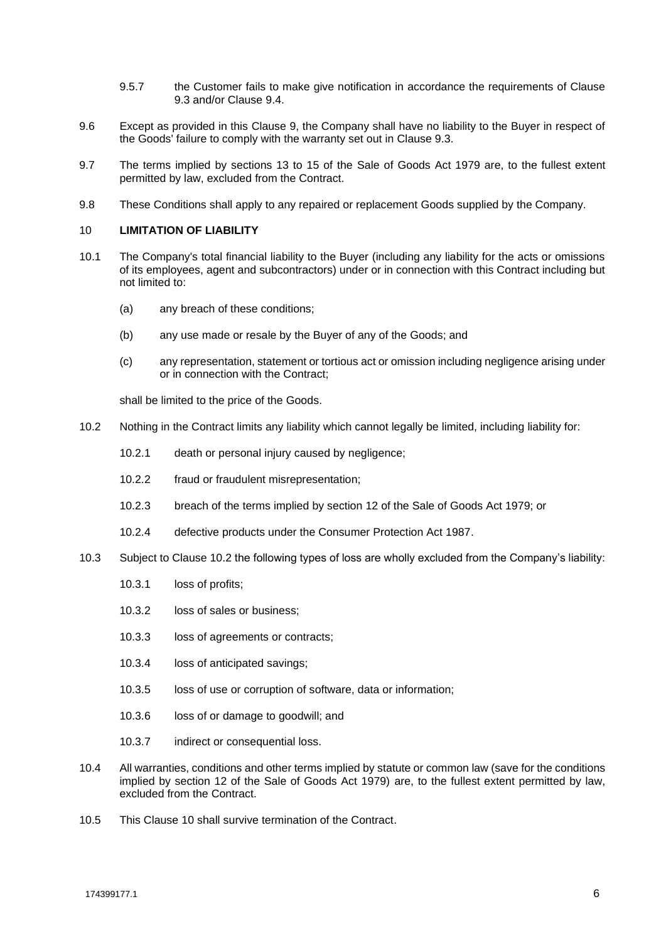- 9.5.7 the Customer fails to make give notification in accordance the requirements of Clause [9.3](#page-4-0) and/or Clause [9.4.](#page-4-3)
- 9.6 Except as provided in this Clause [9,](#page-4-4) the Company shall have no liability to the Buyer in respect of the Goods' failure to comply with the warranty set out in Clause [9.3.](#page-4-0)
- 9.7 The terms implied by sections 13 to 15 of the Sale of Goods Act 1979 are, to the fullest extent permitted by law, excluded from the Contract.
- 9.8 These Conditions shall apply to any repaired or replacement Goods supplied by the Company.

### <span id="page-5-1"></span>10 **LIMITATION OF LIABILITY**

- 10.1 The Company's total financial liability to the Buyer (including any liability for the acts or omissions of its employees, agent and subcontractors) under or in connection with this Contract including but not limited to:
	- (a) any breach of these conditions;
	- (b) any use made or resale by the Buyer of any of the Goods; and
	- (c) any representation, statement or tortious act or omission including negligence arising under or in connection with the Contract;

shall be limited to the price of the Goods.

- <span id="page-5-0"></span>10.2 Nothing in the Contract limits any liability which cannot legally be limited, including liability for:
	- 10.2.1 death or personal injury caused by negligence;
	- 10.2.2 fraud or fraudulent misrepresentation;
	- 10.2.3 breach of the terms implied by section 12 of the Sale of Goods Act 1979; or
	- 10.2.4 defective products under the Consumer Protection Act 1987.
- 10.3 Subject to Clause [10.2](#page-5-0) the following types of loss are wholly excluded from the Company's liability:
	- 10.3.1 loss of profits;
	- 10.3.2 loss of sales or business;
	- 10.3.3 loss of agreements or contracts;
	- 10.3.4 loss of anticipated savings;
	- 10.3.5 loss of use or corruption of software, data or information;
	- 10.3.6 loss of or damage to goodwill; and
	- 10.3.7 indirect or consequential loss.
- 10.4 All warranties, conditions and other terms implied by statute or common law (save for the conditions implied by section 12 of the Sale of Goods Act 1979) are, to the fullest extent permitted by law, excluded from the Contract.
- 10.5 This Clause [10](#page-5-1) shall survive termination of the Contract.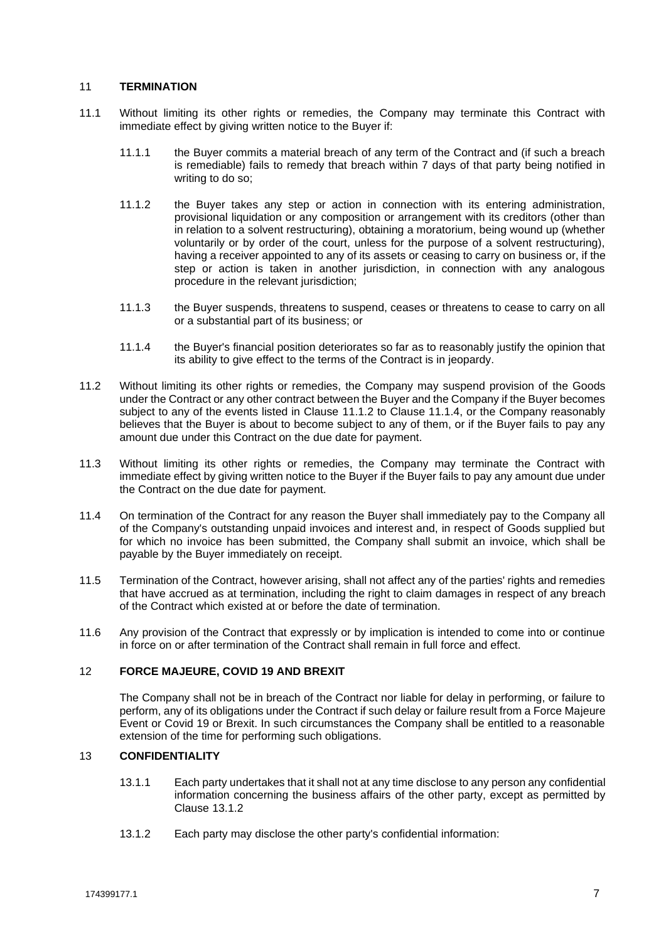## 11 **TERMINATION**

- <span id="page-6-0"></span>11.1 Without limiting its other rights or remedies, the Company may terminate this Contract with immediate effect by giving written notice to the Buyer if:
	- 11.1.1 the Buyer commits a material breach of any term of the Contract and (if such a breach is remediable) fails to remedy that breach within 7 days of that party being notified in writing to do so;
	- 11.1.2 the Buyer takes any step or action in connection with its entering administration, provisional liquidation or any composition or arrangement with its creditors (other than in relation to a solvent restructuring), obtaining a moratorium, being wound up (whether voluntarily or by order of the court, unless for the purpose of a solvent restructuring), having a receiver appointed to any of its assets or ceasing to carry on business or, if the step or action is taken in another jurisdiction, in connection with any analogous procedure in the relevant jurisdiction;
	- 11.1.3 the Buyer suspends, threatens to suspend, ceases or threatens to cease to carry on all or a substantial part of its business; or
	- 11.1.4 the Buyer's financial position deteriorates so far as to reasonably justify the opinion that its ability to give effect to the terms of the Contract is in jeopardy.
- <span id="page-6-1"></span>11.2 Without limiting its other rights or remedies, the Company may suspend provision of the Goods under the Contract or any other contract between the Buyer and the Company if the Buyer becomes subject to any of the events listed in Clause [11.1.2](#page-6-0) to Clause [11.1.4,](#page-6-1) or the Company reasonably believes that the Buyer is about to become subject to any of them, or if the Buyer fails to pay any amount due under this Contract on the due date for payment.
- 11.3 Without limiting its other rights or remedies, the Company may terminate the Contract with immediate effect by giving written notice to the Buyer if the Buyer fails to pay any amount due under the Contract on the due date for payment.
- 11.4 On termination of the Contract for any reason the Buyer shall immediately pay to the Company all of the Company's outstanding unpaid invoices and interest and, in respect of Goods supplied but for which no invoice has been submitted, the Company shall submit an invoice, which shall be payable by the Buyer immediately on receipt.
- 11.5 Termination of the Contract, however arising, shall not affect any of the parties' rights and remedies that have accrued as at termination, including the right to claim damages in respect of any breach of the Contract which existed at or before the date of termination.
- 11.6 Any provision of the Contract that expressly or by implication is intended to come into or continue in force on or after termination of the Contract shall remain in full force and effect.

# 12 **FORCE MAJEURE, COVID 19 AND BREXIT**

The Company shall not be in breach of the Contract nor liable for delay in performing, or failure to perform, any of its obligations under the Contract if such delay or failure result from a Force Majeure Event or Covid 19 or Brexit. In such circumstances the Company shall be entitled to a reasonable extension of the time for performing such obligations.

# 13 **CONFIDENTIALITY**

- 13.1.1 Each party undertakes that it shall not at any time disclose to any person any confidential information concerning the business affairs of the other party, except as permitted by Clause 13.1.2
- 13.1.2 Each party may disclose the other party's confidential information: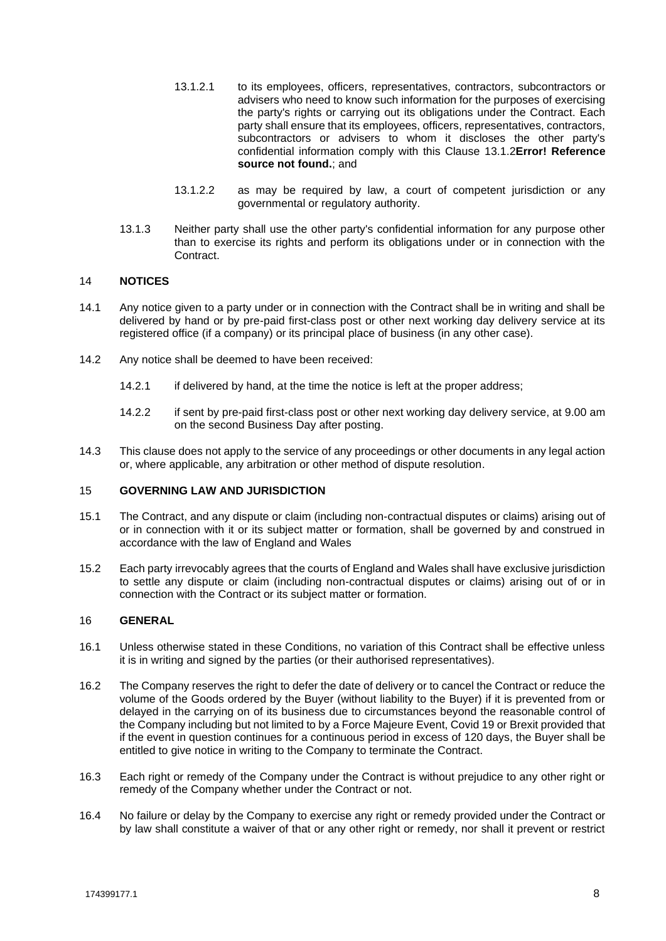- 13.1.2.1 to its employees, officers, representatives, contractors, subcontractors or advisers who need to know such information for the purposes of exercising the party's rights or carrying out its obligations under the Contract. Each party shall ensure that its employees, officers, representatives, contractors, subcontractors or advisers to whom it discloses the other party's confidential information comply with this Clause 13.1.2**Error! Reference source not found.**; and
- 13.1.2.2 as may be required by law, a court of competent jurisdiction or any governmental or regulatory authority.
- 13.1.3 Neither party shall use the other party's confidential information for any purpose other than to exercise its rights and perform its obligations under or in connection with the Contract.

## 14 **NOTICES**

- 14.1 Any notice given to a party under or in connection with the Contract shall be in writing and shall be delivered by hand or by pre-paid first-class post or other next working day delivery service at its registered office (if a company) or its principal place of business (in any other case).
- 14.2 Any notice shall be deemed to have been received:
	- 14.2.1 if delivered by hand, at the time the notice is left at the proper address;
	- 14.2.2 if sent by pre-paid first-class post or other next working day delivery service, at 9.00 am on the second Business Day after posting.
- 14.3 This clause does not apply to the service of any proceedings or other documents in any legal action or, where applicable, any arbitration or other method of dispute resolution.

### 15 **GOVERNING LAW AND JURISDICTION**

- 15.1 The Contract, and any dispute or claim (including non-contractual disputes or claims) arising out of or in connection with it or its subject matter or formation, shall be governed by and construed in accordance with the law of England and Wales
- 15.2 Each party irrevocably agrees that the courts of England and Wales shall have exclusive jurisdiction to settle any dispute or claim (including non-contractual disputes or claims) arising out of or in connection with the Contract or its subject matter or formation.

## 16 **GENERAL**

- 16.1 Unless otherwise stated in these Conditions, no variation of this Contract shall be effective unless it is in writing and signed by the parties (or their authorised representatives).
- 16.2 The Company reserves the right to defer the date of delivery or to cancel the Contract or reduce the volume of the Goods ordered by the Buyer (without liability to the Buyer) if it is prevented from or delayed in the carrying on of its business due to circumstances beyond the reasonable control of the Company including but not limited to by a Force Majeure Event, Covid 19 or Brexit provided that if the event in question continues for a continuous period in excess of 120 days, the Buyer shall be entitled to give notice in writing to the Company to terminate the Contract.
- 16.3 Each right or remedy of the Company under the Contract is without prejudice to any other right or remedy of the Company whether under the Contract or not.
- 16.4 No failure or delay by the Company to exercise any right or remedy provided under the Contract or by law shall constitute a waiver of that or any other right or remedy, nor shall it prevent or restrict